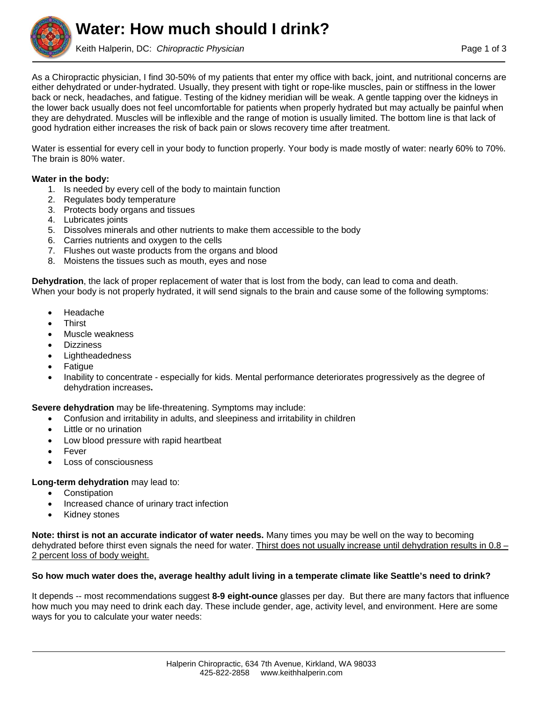**Water: How much should I drink?**

Keith Halperin, DC: *Chiropractic Physician* **Page 1 of 3** and 2008 and 2008 and 2008 and 2008 and 2008 and 2008 and 2008 and 2008 and 2008 and 2008 and 2008 and 2008 and 2008 and 2008 and 2008 and 2008 and 2008 and 2008 a

As a Chiropractic physician, I find 30-50% of my patients that enter my office with back, joint, and nutritional concerns are either dehydrated or under-hydrated. Usually, they present with tight or rope-like muscles, pain or stiffness in the lower back or neck, headaches, and fatigue. Testing of the kidney meridian will be weak. A gentle tapping over the kidneys in the lower back usually does not feel uncomfortable for patients when properly hydrated but may actually be painful when they are dehydrated. Muscles will be inflexible and the range of motion is usually limited. The bottom line is that lack of good hydration either increases the risk of back pain or slows recovery time after treatment.

Water is essential for every cell in your body to function properly. Your body is made mostly of water: nearly 60% to 70%. The brain is 80% water.

## **Water in the body:**

- 1. Is needed by every cell of the body to maintain function
- 2. Regulates body temperature
- 3. Protects body organs and tissues
- 4. Lubricates joints
- 5. Dissolves minerals and other nutrients to make them accessible to the body
- 6. Carries nutrients and oxygen to the cells
- 7. Flushes out waste products from the organs and blood
- 8. Moistens the tissues such as mouth, eyes and nose

**Dehydration**, the lack of proper replacement of water that is lost from the body, can lead to coma and death. When your body is not properly hydrated, it will send signals to the brain and cause some of the following symptoms:

- Headache
- **Thirst**
- Muscle weakness
- **Dizziness**
- Lightheadedness
- Fatigue
- Inability to concentrate especially for kids. Mental performance deteriorates progressively as the degree of dehydration increases**.**

**Severe dehydration** may be life-threatening. Symptoms may include:

- Confusion and irritability in adults, and sleepiness and irritability in children
- Little or no urination
- Low blood pressure with rapid heartbeat
- Fever
- Loss of consciousness

#### **Long-term dehydration** may lead to:

- Constipation
- Increased chance of urinary tract infection
- Kidney stones

**Note: thirst is not an accurate indicator of water needs.** Many times you may be well on the way to becoming dehydrated before thirst even signals the need for water. Thirst does not usually increase until dehydration results in 0.8 – 2 percent loss of body weight.

#### **So how much water does the, average healthy adult living in a temperate climate like Seattle's need to drink?**

It depends -- most recommendations suggest **8-9 eight-ounce** glasses per day. But there are many factors that influence how much you may need to drink each day. These include gender, age, activity level, and environment. Here are some ways for you to calculate your water needs: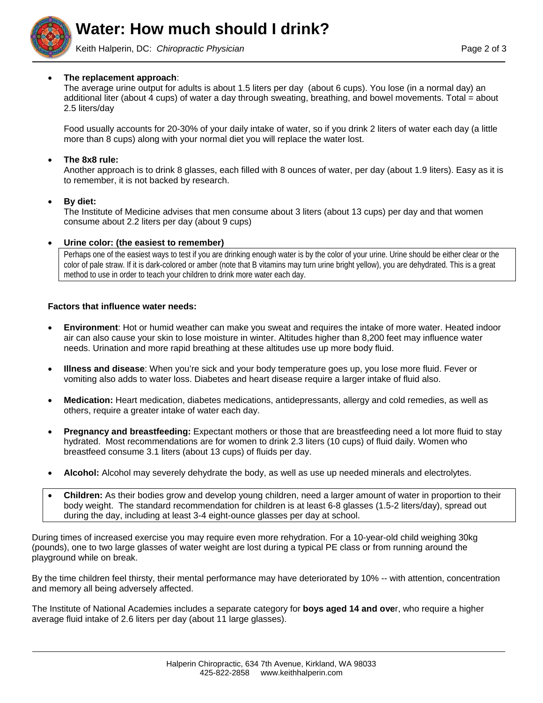

Keith Halperin, DC: Chiropractic Physician **Page 2 of 3** and 2 of 3

# **The replacement approach**:

The average urine output for adults is about 1.5 liters per day (about 6 cups). You lose (in a normal day) an additional liter (about 4 cups) of water a day through sweating, breathing, and bowel movements. Total = about 2.5 liters/day

Food usually accounts for 20-30% of your daily intake of water, so if you drink 2 liters of water each day (a little more than 8 cups) along with your normal diet you will replace the water lost.

## **The 8x8 rule:**

Another approach is to drink 8 glasses, each filled with 8 ounces of water, per day (about 1.9 liters). Easy as it is to remember, it is not backed by research.

#### **By diet:**

The Institute of Medicine advises that men consume about 3 liters (about 13 cups) per day and that women consume about 2.2 liters per day (about 9 cups)

## **Urine color: (the easiest to remember)**

Perhaps one of the easiest ways to test if you are drinking enough water is by the color of your urine. Urine should be either clear or the color of pale straw. If it is dark-colored or amber (note that B vitamins may turn urine bright yellow), you are dehydrated. This is a great method to use in order to teach your children to drink more water each day.

## **Factors that influence water needs:**

- **Environment**: Hot or humid weather can make you sweat and requires the intake of more water. Heated indoor air can also cause your skin to lose moisture in winter. Altitudes higher than 8,200 feet may influence water needs. Urination and more rapid breathing at these altitudes use up more body fluid.
- **Illness and disease**: When you're sick and your body temperature goes up, you lose more fluid. Fever or vomiting also adds to water loss. Diabetes and heart disease require a larger intake of fluid also.
- **Medication:** Heart medication, diabetes medications, antidepressants, allergy and cold remedies, as well as others, require a greater intake of water each day.
- **Pregnancy and breastfeeding:** Expectant mothers or those that are breastfeeding need a lot more fluid to stay hydrated. Most recommendations are for women to drink 2.3 liters (10 cups) of fluid daily. Women who breastfeed consume 3.1 liters (about 13 cups) of fluids per day.
- **Alcohol:** Alcohol may severely dehydrate the body, as well as use up needed minerals and electrolytes.
- **Children:** As their bodies grow and develop young children, need a larger amount of water in proportion to their body weight. The standard recommendation for children is at least 6-8 glasses (1.5-2 liters/day), spread out during the day, including at least 3-4 eight-ounce glasses per day at school.

During times of increased exercise you may require even more rehydration. For a 10-year-old child weighing 30kg (pounds), one to two large glasses of water weight are lost during a typical PE class or from running around the playground while on break.

By the time children feel thirsty, their mental performance may have deteriorated by 10% -- with attention, concentration and memory all being adversely affected.

The Institute of National Academies includes a separate category for **boys aged 14 and ove**r, who require a higher average fluid intake of 2.6 liters per day (about 11 large glasses).